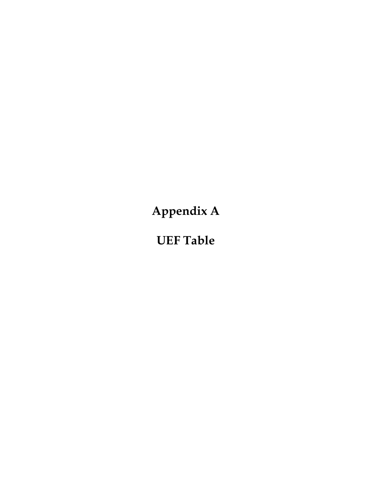Appendix A

UEF Table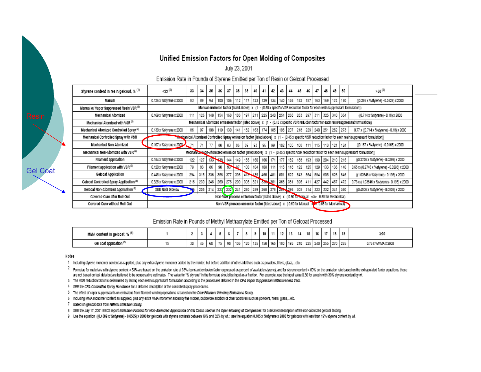#### Unified Emission Factors for Open Molding of Composites

July 23, 2001

#### Emission Rate in Pounds of Styrene Emitted per Ton of Resin or Gelcoat Processed

| Styrene content in resin/gelcoat, % (1)      | $+33^{(2)}$             | 33  | 34  | 35          | 36  | 37      | 38  | 39      | 40  | 41                                                                                                | 42  | 43      | 44  | 45              | 46      | 47  | 48                          | 49          | 50      | $3-50^{(2)}$                                                                                                                                             |
|----------------------------------------------|-------------------------|-----|-----|-------------|-----|---------|-----|---------|-----|---------------------------------------------------------------------------------------------------|-----|---------|-----|-----------------|---------|-----|-----------------------------|-------------|---------|----------------------------------------------------------------------------------------------------------------------------------------------------------|
| Manual                                       | 0.126 x %styrene x 2000 | 83  | 89  | 94          | 100 | 106     | 112 | 117     | 123 | 129                                                                                               | 134 | 140     | 146 | 152             | 157     | 163 | 169                         |             | 174 180 | ((0.286 x %styrene) - 0.0529) x 2000                                                                                                                     |
| Manual w/ Vapor Suppressed Resin VSR (3)     |                         |     |     |             |     |         |     |         |     |                                                                                                   |     |         |     |                 |         |     |                             |             |         | Manual emission factor [listed above] x (1 - (0.50 x specific VSR reduction factor for each resin/suppressant formulation))                              |
| Mechanical Atomized                          | 0.169 x %styrene x 2000 | 111 | 126 | 140         | 154 | 168 183 |     | 197 211 |     | 225   240   254   268   283   297   311                                                           |     |         |     |                 |         |     | 325 340 354                 |             |         | ((0.714 x %styrene) - 0.18) x 2000                                                                                                                       |
| Mechanical Atomized with VSR (3)             |                         |     |     |             |     |         |     |         |     |                                                                                                   |     |         |     |                 |         |     |                             |             |         | Mechanical Atomized emission factor [listed above] x (1 - (0.45 x specific VSR reduction factor for each resin/suppressant formulation))                 |
| Mechanical Atomized Controlled Spray (4)     | 0.130 x %styrene x 2000 | 86  | 97  | 108         | 119 | 130     | 141 | 152     | 163 | 174                                                                                               | 185 | 196     | 207 | 218             | 229 240 |     |                             | 251 262 273 |         | 0.77 x ((0.714 x %styrene) - 0.18) x 2000                                                                                                                |
| Mechanical Controlled Spray with VSR         |                         |     |     |             |     |         |     |         |     |                                                                                                   |     |         |     |                 |         |     |                             |             |         | mechanical Atomized Controlled Spray emission factor [isted above] x (1 - (0.45 x specific VSR reduction factor for each resin/suppressant formulation)) |
| Mechanical Non-Atomized                      | 0.107 x %styrene x 2000 |     | 74  | 77          | 80  | 83      | 86  | 89      | 93  | 96                                                                                                | 99  | 102     | 105 | 108             |         |     | 111   115   118   121   124 |             |         | ((0.157 x %styrene) - 0.0165) x 2000                                                                                                                     |
| Mechanical Non-Atomized with VSR (3)         |                         |     |     |             |     |         |     |         |     |                                                                                                   |     |         |     |                 |         |     |                             |             |         | Mechanical Mon-Atomized emission factor [listed above] x (1 - (0.45 x specific VSR reduction factor for each resin/suppressant formulation))             |
| Filament application                         | 0.184 x %styrene x 2000 | 122 | 127 | $133 +$     | 438 | 144     | 149 | 155     | 160 | 166                                                                                               |     | 177     | 182 | 188             |         |     | 193   199   204   210   215 |             |         | ((0.2746 x %styrene) - 0.0298) x 2000                                                                                                                    |
| Filament application with VSR <sup>(3)</sup> | 0.120 x %styrene x 2000 | 79  | 83  | 86          | 90  | 95      | Q7  | 100     | 104 | 108                                                                                               | 111 | 115     | 118 | 122             | 125     | 129 |                             | 133 136 140 |         | 0.65 x ((0.2746 x %styrene) - 0.0298) x 2000                                                                                                             |
| Gelcoat Application                          | 0.445 x %styrene x 2000 | 294 | 315 | 336         | 356 | 377     |     |         |     | 398 416 439 460 481                                                                               |     |         |     | 501 522 543 564 |         | 584 | 605 626 646                 |             |         | ((1.03646 x %styrene) - 0.195) x 2000                                                                                                                    |
| Gelcoat Controlled Spray Application (4)     | 0.325 x %styrene x 2000 | 215 | 230 | 245         | 260 | 275 290 |     | 305 321 |     | 356 351                                                                                           |     | 366 381 |     | 396             | 411     | 427 | 442 457                     |             | 472     | 0.73 x ((1.03646 x %styrene) - 0.195) x 2000                                                                                                             |
| Gelcoat Non-Atomized Application ®           | SEE Note 9 below        |     |     | 205 214 227 |     | 232     | 241 |         |     | 250 259 268 278 207 296 305                                                                       |     |         |     |                 | 314     | 323 | 332 341                     |             | 350     | ((0.4506 x %styrene) - 0.0505) x 2000                                                                                                                    |
| Covered-Cure after Roll-Out                  |                         |     |     |             |     |         |     |         |     | Non-VSrc process emission factor (listed above) x (0.80 for Manual <or> 0.85 for Mechanical)</or> |     |         |     |                 |         |     |                             |             |         |                                                                                                                                                          |
| Covered-Cure without Roll-Out                |                         |     |     |             |     |         |     |         |     | Non-VSR process emission factor [isted above] x (0.50 for Manual <                                |     |         |     |                 |         |     | $\geq 0.55$ for Mechanical) |             |         |                                                                                                                                                          |

Emission Rate in Pounds of Methyl Methacrylate Emitted per Ton of Gelcoat Processed

| MMA content in gelcoat, % (*)       |           |    |    |      |            |       | o              |             |     | 11  | 12   | 13 | 14 | 15 | . 16 | 18 | 13                                      | 20                 |
|-------------------------------------|-----------|----|----|------|------------|-------|----------------|-------------|-----|-----|------|----|----|----|------|----|-----------------------------------------|--------------------|
| Gel coat application <sup>(7)</sup> | 30.<br>wu | 45 | 60 | $-1$ | - 55<br>ນພ | 199 I | 105 100<br>120 | 135<br>1991 | 150 | 165 | 1180 |    |    |    |      |    | 195   210   225   240   255   270   285 | 0.75 x %MMA x 2000 |

Notes

Gel Coat

1 Including styrene monomer content as supplied, plus any extra styrene monomer added by the molder, but before addition of other additives such as powders, filers, glass,...etc.

2 Formulas for materials with styrene content < 33% are based on the emission rate at 33% (constant emission factor expressed as percent of available styrene), and for styrene content > 50% on the emission rate based on th are not based on test data but are believed to be conservative estimates. The value for "% styrene" in the formulas should be input as a fraction. For example, use the input value 0.30 for a resin with 30% styrene content

3 The VSR reduction factor is determined by testing each resin/suppressant formulation according to the procedures detailed in the CFA Vapor Suppressant Effectiveness Test.

4 SEE the CFA Controlled Spray Handbook for a detailed description of the controlled spray procedures.

5 The effect of vapor suppressants on emissions from filament winding operations is based on the Dow Filament Winding Emissions Study.

6 Including MMA monomer content as supplied, plus any extra MMA monomer added by the molder, but before addition of other additives such as powders, filers, glass,...etc.

7 Based on gelcoat data from MMMA Emission Study.

8 SEE the July 17, 2001 EECS report Emission Factors for Non-Atomized Application of Gel Coats used in the Open Molding of Composites for a detailed description of the non-atomized gelocal testing.

9 Use the equation ((0.4506 x %styrene) - 0.0505) x 2000 for gelocats with styrene contents between 19% and 32% by wt.; use the equation 0.185 x %styrene x 2000 for gelocats with less than 19% styrene content by wt.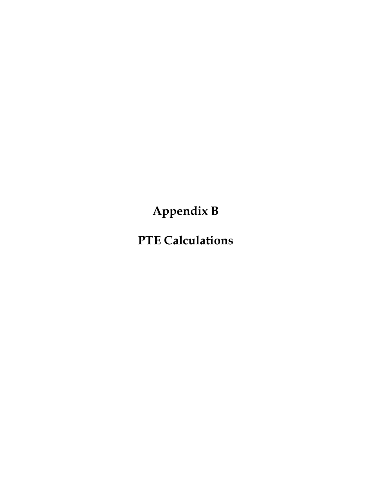Appendix B

PTE Calculations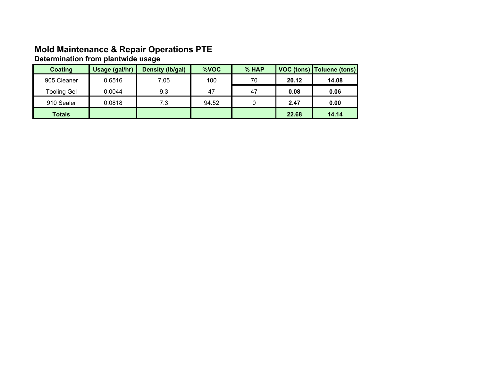# Mold Maintenance & Repair Operations PTE Determination from plantwide usage

| Coating       | Usage (gal/hr) | Density (lb/gal) | %VOC  | % HAP |       | VOC (tons)   Toluene (tons) |
|---------------|----------------|------------------|-------|-------|-------|-----------------------------|
| 905 Cleaner   | 0.6516         | 7.05             | 100   | 70    | 20.12 | 14.08                       |
| Tooling Gel   | 0.0044         | 9.3              | 47    | 47    | 0.08  | 0.06                        |
| 910 Sealer    | 0.0818         | 7.3              | 94.52 |       | 2.47  | 0.00                        |
| <b>Totals</b> |                |                  |       |       | 22.68 | 14.14                       |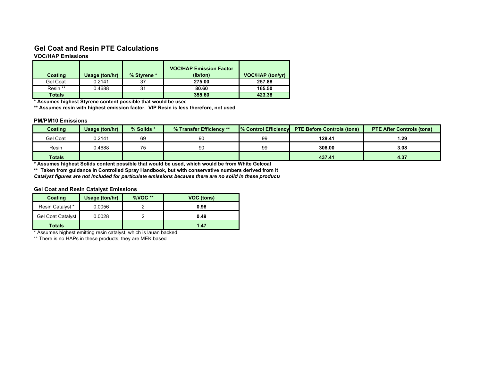### Gel Coat and Resin PTE Calculations

#### VOC/HAP Emissions

| <b>Coating</b> | Usage (ton/hr) | % Styrene * | <b>VOC/HAP Emission Factor</b><br>(lb/ton) | VOC/HAP (ton/yr) |
|----------------|----------------|-------------|--------------------------------------------|------------------|
| Gel Coat       | 0.2141         | 37          | 275.00                                     | 257.88           |
| Resin **       | 0.4688         | 31          | 80.60                                      | 165.50           |
| <b>Totals</b>  |                |             | 355.60                                     | 423.38           |

\* Assumes highest Styrene content possible that would be used

\*\* Assumes resin with highest emission factor. VIP Resin is less therefore, not used.

#### PM/PM10 Emissions

| Coating       | Usage (ton/hr) | % Solids * | % Transfer Efficiency **                                                                        |    | 1% Control Efficiency PTE Before Controls (tons) | <b>PTE After Controls (tons)</b> |
|---------------|----------------|------------|-------------------------------------------------------------------------------------------------|----|--------------------------------------------------|----------------------------------|
| Gel Coat      | 0.2141         | 69         | 90                                                                                              | 99 | 129.41                                           | 1.29                             |
| Resin         | 0.4688         | 75         | 90                                                                                              | 99 | 308.00                                           | 3.08                             |
| <b>Totals</b> |                |            |                                                                                                 |    | 437.41                                           | 4.37                             |
|               |                |            | * Assumes highest Solids content possible that would be used, which would be from White Gelcoat |    |                                                  |                                  |

\*\* Taken from guidance in Controlled Spray Handbook, but with conservative numbers derived from it

Catalyst figures are not included for particulate emissions because there are no solid in these products

#### Gel Coat and Resin Catalyst Emissions

| Coating                  | Usage (ton/hr) | $%VOC **$ | VOC (tons) |
|--------------------------|----------------|-----------|------------|
| <b>Resin Catalyst *</b>  | 0.0056         |           | 0.98       |
| <b>Gel Coat Catalyst</b> | 0.0028         |           | 0.49       |
| <b>Totals</b>            |                |           | 1.47       |

\* Assumes highest emitting resin catalyst, which is lauan backed.

\*\* There is no HAPs in these products, they are MEK based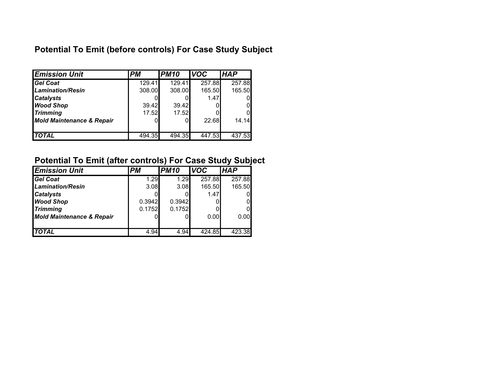## Potential To Emit (before controls) For Case Study Subject

| <b>Emission Unit</b>                 | <b>PM</b> | <b>PM10</b> | <b>VOC</b> | <b>HAP</b> |
|--------------------------------------|-----------|-------------|------------|------------|
| <b>Gel Coat</b>                      | 129.41    | 129.41      | 257.88     | 257.88     |
| Lamination/Resin                     | 308.00    | 308.00      | 165.50     | 165.50     |
| <b>Catalysts</b>                     |           |             | 1.47       |            |
| <b>Wood Shop</b>                     | 39.42     | 39.42       |            |            |
| <b>Trimming</b>                      | 17.52     | 17.52       |            |            |
| <b>Mold Maintenance &amp; Repair</b> |           |             | 22.68      | 14.14      |
|                                      |           |             |            |            |
| <b>TOTAL</b>                         | 494.35    | 494.35      | 447.53     | 437.53     |

### Potential To Emit (after controls) For Case Study Subject

| <b>Emission Unit</b>                 | <b>PM</b> | <b>PM10</b> | <b>VOC</b> | <b>IHAP</b> |
|--------------------------------------|-----------|-------------|------------|-------------|
| <b>Gel Coat</b>                      | 1.29      | 1.29        | 257.88     | 257.88      |
| <b>Lamination/Resin</b>              | 3.08      | 3.08        | 165.50     | 165.50      |
| <b>Catalysts</b>                     |           |             | 1.47       |             |
| <b>Wood Shop</b>                     | 0.3942    | 0.3942      |            |             |
| <b>Trimming</b>                      | 0.1752    | 0.1752      |            |             |
| <b>Mold Maintenance &amp; Repair</b> |           | OI          | 0.00       | 0.00        |
|                                      |           |             |            |             |
| <b>TOTAL</b>                         | 4.94      | 4.94        | 424.85     | 423.38      |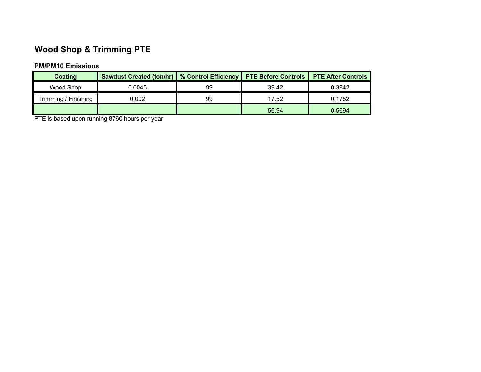# Wood Shop & Trimming PTE

#### PM/PM10 Emissions

| Coating              | Sawdust Created (ton/hr)   % Control Efficiency   PTE Before Controls |    |       | <b>PTE After Controls</b> |
|----------------------|-----------------------------------------------------------------------|----|-------|---------------------------|
| Wood Shop            | 0.0045                                                                | 99 | 39.42 | 0.3942                    |
| Trimming / Finishing | 0.002                                                                 | 99 | 17.52 | 0.1752                    |
|                      |                                                                       |    | 56.94 | 0.5694                    |

PTE is based upon running 8760 hours per year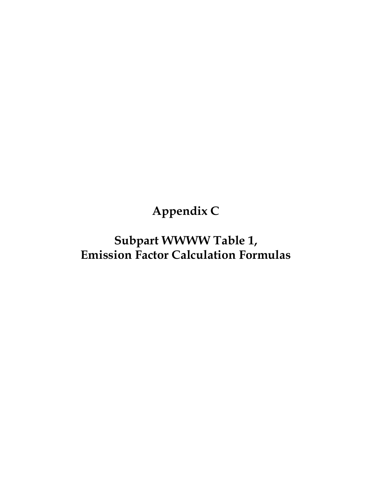Appendix C

Subpart WWWW Table 1, Emission Factor Calculation Formulas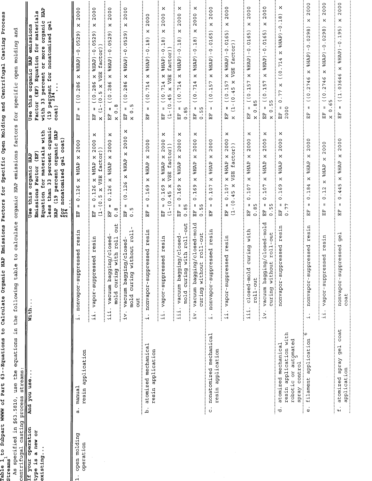| $\Xi$<br>specified<br>centrifugal<br>As              | $\mathbf{H}$<br>equations<br>use the<br>streams<br>\$63.5810,                                        | calculate<br>$\frac{0}{1}$<br>table<br>following<br>the                                  | factors<br>emissions<br>HAP<br>organic                                                                                                                                                                                                          | and<br>open molding<br>specific<br>for                                                                                                                                                                      |
|------------------------------------------------------|------------------------------------------------------------------------------------------------------|------------------------------------------------------------------------------------------|-------------------------------------------------------------------------------------------------------------------------------------------------------------------------------------------------------------------------------------------------|-------------------------------------------------------------------------------------------------------------------------------------------------------------------------------------------------------------|
| If your operation<br>is a new or<br>existing<br>type | casting process streams<br>ration And you use                                                        | With.                                                                                    | organic<br>with<br>organic HAP<br>$\cos t$<br>for materials<br>(EF)<br>percent<br><b>TAH</b><br>gel<br>organic<br>Factor<br>percent<br>nonatomized<br>3<br>Emissions<br>than<br>this<br>Equation<br>$\frac{9}{19}$<br>less<br>Use<br>НAР<br>524 | <b>EVII</b><br>U)<br>for material<br>organic<br>gel<br>emissions<br>nonatomized<br>or more<br>Equation<br>HAP<br>this organic<br>with 33 percent<br>percent for<br>(EF)<br>Factor<br>$\cosh$<br>Use<br>(19) |
| open molding<br>operation                            | resin application<br>manual<br><br>ನ                                                                 | resin<br>nonvapor-suppressed<br>٠H                                                       | 2000<br>$\boldsymbol{\times}$<br><b>SHAP</b><br>$\boldsymbol{\mathsf{x}}$<br>.126<br>$\circ$<br>$\mathbf u$<br>h<br>H                                                                                                                           | 2000<br>×<br>$-0.0529$<br>\$HAP\$<br>×<br>(0.286<br>$\mathbf u$<br>덙                                                                                                                                        |
|                                                      |                                                                                                      | esin<br>ч<br>essed<br>rddns-zoden<br>$\frac{1}{4}$                                       | ×<br>2000<br>factor))<br>$\boldsymbol{\mathsf{x}}$<br><b>AHRP</b><br>$(1 - (0.5 x)$<br>$\mathsf{x}$<br>0.126<br>$\mathbf{0}$<br>면                                                                                                               | 2000<br>×<br>$-0.0529)$<br>factor))<br>(GAHAS<br>$x(1-(0.5 x \sqrt{S})$<br>$\boldsymbol{\mathsf{x}}$<br>(10.286<br>$\mathbf{I}$<br>臣                                                                        |
|                                                      |                                                                                                      | out<br>vacuum bagging/closed<br>12 <sub>1</sub><br>mold curing with<br>$\frac{11}{4}$    | ×<br>2000<br>$\times$<br><b>SHAP</b><br>0.126 x<br>$\mathbf{u}$<br>®.o<br>E                                                                                                                                                                     | 2000<br>×<br>$$HAP$ $-0.0529$<br>$\mathsf{x}$<br>(0.286<br>$\infty$<br>$\mathbf{u}$<br>$\frac{1}{x}$<br>EF                                                                                                  |
|                                                      |                                                                                                      | $r$ oll<br>vacuum bagging/closed-<br>without<br>mold curing<br>out<br>iv.                | ×<br>2000<br>$\mathsf{x}$<br>$(0.126 \times 8HAP)$<br>$\frac{5}{0}$<br>EF                                                                                                                                                                       | 2000<br>×<br>%HAP) - 0.0529)<br>$\times$<br>(0.286<br>$x$ 0.5<br>$\pmb{\text{II}}$<br>E<br>El                                                                                                               |
|                                                      | atomized mechanical<br>application<br>resin<br>.<br>م                                                | resin<br>nonvapor-suppressed<br>$\frac{1}{2}$                                            | 2000<br>$\times$<br><b>SHAP</b><br>$\pmb{\times}$<br>.169<br>$\circ$<br>Ш<br>띥                                                                                                                                                                  | 2000<br>×<br>$$HAP$ ) $-0.18$ )<br>$\times$<br>(0.714<br>$\sf II$<br>旨                                                                                                                                      |
|                                                      |                                                                                                      | vapor-suppressed resin<br>$\frac{1}{11}$ .                                               | ×<br>2000<br>factor))<br>$\mathsf{x}$<br>$x$ $8HAP$<br>VSE<br>$\times$<br>$= 0.169$<br>$(1 - (0.45)$<br>i<br>El                                                                                                                                 | ×<br>2000<br>$\pmb{\times}$<br>$$HAP$ ) - 0.18)<br>factor))<br>(0.714 x<br>x VSE<br>$(1 - (0.45)$<br>Ħ<br>EE                                                                                                |
|                                                      |                                                                                                      | -out<br>vacuum bagging/closed<br>$r$ oll<br>with<br>curing<br><br>mold<br>$\frac{1}{11}$ | ×<br>2000<br>$\times$<br><b>SHAP</b><br>$\mathbf{\hat{x}}$<br>0.169<br>$\pmb{ } \pmb{ }$<br>0.85<br>EF                                                                                                                                          | ×<br>2000<br>$\boldsymbol{\times}$<br>$$HAP$ ) -0.18)<br>$\times$<br>(0.714<br>H<br>0.85<br>$\mathbb{E}$                                                                                                    |
|                                                      |                                                                                                      | vacuum bagging/closed-mold<br>roll-out<br>curing without<br>iv.                          | ×<br>2000<br>×<br><b>AHAP</b><br>$\pmb{\times}$<br>0.169<br>$\pmb{\text{1}}\pmb{\text{I}}$<br>0.55<br>EF                                                                                                                                        | ×<br>2000<br>×<br>%HAP)-0.18)<br>$\rtimes$<br>( (0.714)<br>$\mathbf{H}$<br>0.55<br>EF                                                                                                                       |
|                                                      | nonatomized mechanical<br>resin application<br>$\dot{\circ}$                                         | nonvapor-suppressed resin<br>.<br>۱.                                                     | 2000<br>×<br><b>SHAP</b><br>×<br>0.107<br>$\mathbf{H}$<br>E<br>El                                                                                                                                                                               | 2000<br>×<br>$$HAP$ ) - 0.0165)<br>$\times$<br>( (0.157)<br>$\mathsf{II}$<br>臣                                                                                                                              |
|                                                      |                                                                                                      | resin<br>vapor-suppressed<br>$\frac{1}{11}$ .                                            | ×<br>2000<br>factor))<br>$\times$<br>X &HAP<br>VSE<br>$\times$<br>0.107<br>$-45$<br>$(1 - 0)$<br>$\mathbf{I}$<br>E                                                                                                                              | 2000<br>×<br>$x$ $8HAP$ ) - 0.0165)<br>VSE factor))<br>$-10.45 x$<br>(0.157)<br>$\pmb{\mathsf{II}}$<br>$\mathbf{a}$<br>띥<br>$\overline{\mathsf{x}}$                                                         |
|                                                      |                                                                                                      | curing with<br>ਰ<br>ਜ<br>closed-mo<br>roll-out<br>$\cdot$<br>$\frac{11}{11}$             | ×<br>2000<br>$\times$<br><b>SHAP</b><br>$\times$<br>0.107<br>$\rm H$<br>0.85<br>田                                                                                                                                                               | 2000<br>×<br>%HAP)-0.0165)<br>×<br>$= (0.157)$<br>x 0.85<br>E                                                                                                                                               |
|                                                      |                                                                                                      | ರ<br>closed-mol<br>-out<br>roll.<br>vacuum bagging/<br>curing without<br><br>iv.         | ×<br>2000<br>×<br><b>SHAP</b><br>×<br>0.107<br>Ш.<br>0.55<br>EF                                                                                                                                                                                 | 2000<br>×<br>%HAP)-0.0165)<br>$\times$<br>(0.157)<br>0.55<br>$\mathbf{I}$<br>្រុ<br>ច<br>$\mathsf{x}$                                                                                                       |
|                                                      | with<br>or automated<br>atomized mechanical<br>application<br>spray control<br>robotic<br>resin<br>ರ | resin<br>nonvapor-suppressed                                                             | ×<br>2000<br>×<br><b>SHAP</b><br>$\times$<br>.169<br>$\circ$<br>II.<br>0.77<br>EF                                                                                                                                                               | ×<br>.18)<br>$\circ$<br>$\mathbf{r}$<br>\$HAP)<br>×<br>(0.714<br>$\boldsymbol{\times}$<br>0.77<br>2000<br>旧                                                                                                 |
|                                                      | ە:<br>filament application<br>Φ                                                                      | esin<br>Ħ<br>nonvapor-suppressed<br>$\cdot$<br>$\cdot$ H                                 | 2000<br>×<br><b>SHAP</b><br>×<br>.184<br>$\circ$<br>$\blacksquare$<br>国                                                                                                                                                                         | 2000<br>×<br>$\widehat{98}$<br>.02<br>$\circ$<br>$8HAP$ )<br>×<br>46<br>(0.27)<br>$\mathbf{I}$<br>답                                                                                                         |
|                                                      |                                                                                                      | resin<br>ressed<br>ddns-zoden<br>$\frac{1}{1}$                                           | 2000<br>$\times$<br><b>SHAP</b><br>$\overline{\mathsf{x}}$<br>0.12<br>Ħ<br>묘                                                                                                                                                                    | 2000<br>$\times$<br>8HAP)-0.0298)<br>$\mathsf{x}$<br>$= (0.2746$<br>0.65<br>$\mathbb{E}$<br>$\overline{\mathsf{x}}$                                                                                         |
|                                                      | coat<br>spray gel<br>atomized<br>Ψ                                                                   | gel<br>nonvapor-suppressed<br>$\text{coat}$                                              | 2000<br>×<br><b>SHAP</b><br>$\times$<br>0.445<br>$\mathsf H$<br>医耳                                                                                                                                                                              | 2000<br>×<br>%HAP)-0.195)<br>$\times$<br>(1.03646<br>$\begin{matrix} \mathbf{I} \end{matrix}$<br>日                                                                                                          |
|                                                      |                                                                                                      |                                                                                          |                                                                                                                                                                                                                                                 |                                                                                                                                                                                                             |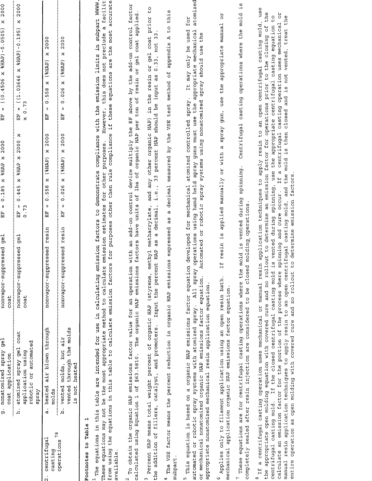|                                                   | g. nonatomized spray gel<br>application<br>coat                                                                                                                                                                                                                                                                                                                                                                                                                                                                                                                                                                                                                                                     | nonvapor-suppressed<br>coat            | $\frac{1}{9}$                                              | 0.185 x<br>$\sf II$<br>臣        | 000Z<br><b>SHAP X</b>                                | $\mathfrak l\mathfrak l$<br>Ë                  | $\frac{000}{2}$<br>×<br>$(0.4506 \times 8HAP) - 0.0505)$                                                                |
|---------------------------------------------------|-----------------------------------------------------------------------------------------------------------------------------------------------------------------------------------------------------------------------------------------------------------------------------------------------------------------------------------------------------------------------------------------------------------------------------------------------------------------------------------------------------------------------------------------------------------------------------------------------------------------------------------------------------------------------------------------------------|----------------------------------------|------------------------------------------------------------|---------------------------------|------------------------------------------------------|------------------------------------------------|-------------------------------------------------------------------------------------------------------------------------|
|                                                   | atomized spray gel coat<br>robotic or automated<br>application using<br>Aexds<br>.<br>a                                                                                                                                                                                                                                                                                                                                                                                                                                                                                                                                                                                                             | nonvapor-suppressed<br>$\texttt{cost}$ | ge1                                                        | $\pmb{\text{II}}$<br>0.73<br>E. | ×<br>0.445 x %HAP x 2000                             | x 0.73<br>L<br>El                              | 2000<br>×<br>$(20.1)$ = $(1.03646 \times 0.046)$                                                                        |
| 78<br>centrifugal<br>casting<br>$\mathbf{\alpha}$ | air blown through<br>heated<br>molds<br><br>.<br>ನ                                                                                                                                                                                                                                                                                                                                                                                                                                                                                                                                                                                                                                                  |                                        | nonvapor-suppressed resin                                  | $\mathsf{II}$<br>EF             | $0.558$ x ( $8HAP$ ) x 2000                          | $0.558$ x (\$HAP) x<br>$\mathbf l$<br>다        | 2000                                                                                                                    |
| operations                                        | through the molds<br>air<br>vented molds, but<br>heated<br>vented<br>is not<br>.<br>م                                                                                                                                                                                                                                                                                                                                                                                                                                                                                                                                                                                                               | .<br>.<br>.<br>.<br>.<br>.             | nonvapor-suppressed resin                                  | H<br>H                          | $= 0.026$ x (*HAP) x 2000                            | $0.026$ $x$ $(8HAP)$<br>8<br>臣                 | x 2000                                                                                                                  |
| Footnotes to Table 1                              |                                                                                                                                                                                                                                                                                                                                                                                                                                                                                                                                                                                                                                                                                                     |                                        |                                                            |                                 |                                                      |                                                |                                                                                                                         |
| available.<br>These                               | from using the equations in this table to calculate emission factors for purposes other then rule compliance if these equations are the most accurate<br>equations may not be the most appropriate method to calculate emission estimates for other purposes.<br><sup>1</sup> The equations in this table are intended for use in calculating                                                                                                                                                                                                                                                                                                                                                       |                                        |                                                            |                                 |                                                      | However,                                       | this does not preclude a facilit<br>emission factors to demonstrate compliance with the emission limits in subpart WWWW |
|                                                   | <sup>2</sup> To obtain the organic HAP emissions factor value for an operation with an add-on control device multiply the EF above by the add-on control factor<br>calculated using Equation 1 of §63.5810. The organic HAP                                                                                                                                                                                                                                                                                                                                                                                                                                                                         |                                        |                                                            |                                 |                                                      |                                                | emissions factors have units of lbs of organic HAP per ton of resin or gel coat applied.                                |
| S.                                                | Percent HAP means total weight percent of organic HAP (styrene,<br>the addition of fillers, catalyst, and promoters.                                                                                                                                                                                                                                                                                                                                                                                                                                                                                                                                                                                | Input the percent HAP                  | methyl methacrylate,<br>as a decimal,                      | i.e.,                           | 33 percent HAP should be input as                    |                                                | and any other organic HAP) in the resin or gel coat prior to<br>0.33, not 33                                            |
| subpart.                                          | 4 The VSE factor means the percent reduction in organic HAP emissions expressed as a decimal measured by the VSE test method of appendix A to this                                                                                                                                                                                                                                                                                                                                                                                                                                                                                                                                                  |                                        |                                                            |                                 |                                                      |                                                |                                                                                                                         |
| m                                                 | This equation is based on a organic HAP emissions factor equation developed for mechanical atomized controlled spray. It may only be used<br>appropriate nonatomized mechanical resin application equation.<br>automated or robotic spray systems with atomized spray. All<br>or mechanical nonatomized organic HAP emissions factor                                                                                                                                                                                                                                                                                                                                                                | equation.                              | spray operations using hand held                           |                                 | Automated or robotic spray systems using nonatomized | spray guns must use the appropriate mechanical | atomized<br>ΙOΙ<br>spray should use the                                                                                 |
| o,                                                | Applies only to filament application using an open resin bath.<br>mechanical application organic HAP emissions factor equation.                                                                                                                                                                                                                                                                                                                                                                                                                                                                                                                                                                     |                                        | If resin is applied manually or with a                     |                                 |                                                      | spray gun, use the appropriate manual          | FO                                                                                                                      |
|                                                   | These equations are for centrifugal casting operations where the mold is vented during<br>completely sealed after resin injection are considered to be                                                                                                                                                                                                                                                                                                                                                                                                                                                                                                                                              |                                        | closed molding operations.                                 |                                 | spinning.                                            |                                                | $\frac{5}{10}$<br>Centrifugal casting operations where the mold                                                         |
| manual resin                                      | the appropriate open molding equation with covered cure and no rollout to determine an emission factor for operations prior to the closing of the<br>application techniques to apply resin to an open centrifugal casting mold, and the mold is then closed and is not vented, treat the<br><sup>8</sup> If a centrifugal casting operation uses mechanical or manual resin application techniques to apply resin to an open centrifugal casting mold,<br>entire operation as open molding with covered cure and no rollout to determine emission factors.<br>centrifugal casting mold. If the closed centrifugal casting mold<br>calculate an emission factor for the portion of the process where |                                        | is vented during spinning, use<br>spinning and cure occur. |                                 | If a                                                 | the appropriate centrifugal casting equation   | use<br>centrifugal casting operation uses mechanical or<br>C<br>C                                                       |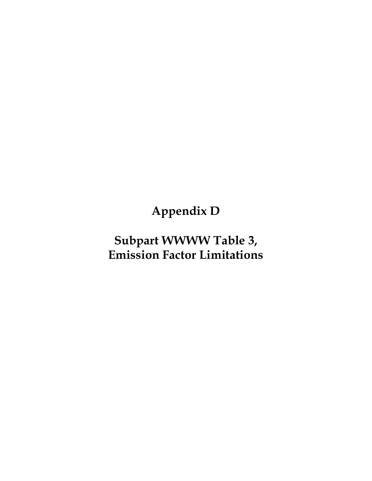Appendix D

# Subpart WWWW Table 3, Emission Factor Limitations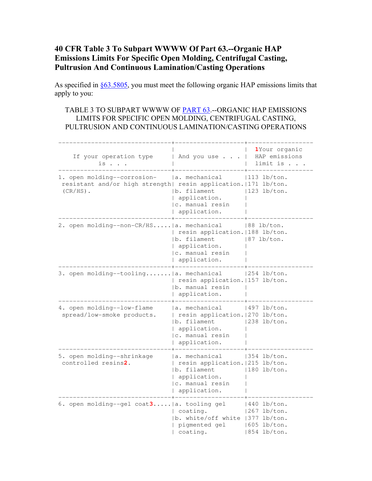#### 40 CFR Table 3 To Subpart WWWW Of Part 63.--Organic HAP Emissions Limits For Specific Open Molding, Centrifugal Casting, Pultrusion And Continuous Lamination/Casting Operations

As specified in §63.5805, you must meet the following organic HAP emissions limits that apply to you:

#### TABLE 3 TO SUBPART WWWW OF PART 63.--ORGANIC HAP EMISSIONS LIMITS FOR SPECIFIC OPEN MOLDING, CENTRIFUGAL CASTING, PULTRUSION AND CONTINUOUS LAMINATION/CASTING OPERATIONS

| If your operation type<br>is                                                                                   | And you use                                                                                                            | 1Your organic<br>HAP emissions<br>limit is.                            |
|----------------------------------------------------------------------------------------------------------------|------------------------------------------------------------------------------------------------------------------------|------------------------------------------------------------------------|
| 1. open molding--corrosion-<br>resistant and/or high strength  resin application.   171 lb/ton.<br>$(CR/HS)$ . | a. mechanical<br>b. filament<br>  application.<br>c. manual resin<br>application.                                      | $ 113\>1b/ton.$<br>$ 123\>1b/ton.$                                     |
| 2. open molding--non-CR/HS   a. mechanical                                                                     | resin application.   188 lb/ton.<br>b. filament<br>application.<br> c. manual resin<br>application.                    | $ 88 \t1b/ton.$<br>$ 87 \t1b/ton.$                                     |
| 3. open molding--tooling   a. mechanical                                                                       | resin application.   157 lb/ton.<br>b. manual resin<br>application.                                                    | $ 254 \t1b/ton.$                                                       |
| 4. open molding--low-flame<br>spread/low-smoke products.                                                       | la. mechanical<br>  resin application.   270 lb/ton.<br>b. filament<br>application.<br>c. manual resin<br>application. | $ 497 \t1b/ton.$<br>$ 238\>$ lb/ton.                                   |
| 5. open molding--shrinkage<br>controlled resins2.                                                              | a. mechanical<br>  resin application.   215 lb/ton.<br>b. filament<br>application.<br> c. manual resin<br>application. | 354 lb/ton.<br>$ 180 \t1b/ton.$                                        |
| 6. open molding--gel coat3   a. tooling gel                                                                    | coating.<br>b. white/off white 1377 lb/ton.<br>pigmented gel<br>coating.                                               | $ 440 \tlb/ton.$<br>$1267$ lb/ton.<br>$1605$ lb/ton.<br>$1854$ lb/ton. |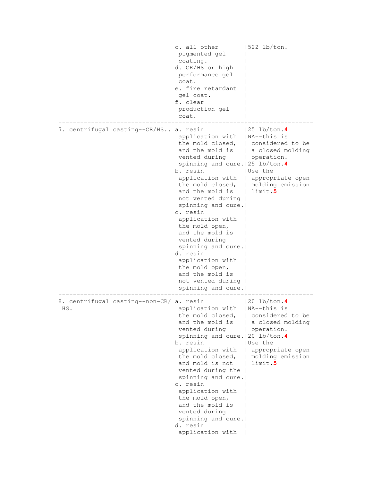|                                                 | c. all other<br>pigmented gel<br>coating.<br>d. CR/HS or high<br>performance gel<br>coat.<br>e. fire retardant<br>gel coat.<br>f. clear<br>production gel<br>coat.                                                                                                                                                                                                                                                                                         | $1522$ lb/ton.                                                                                                                                           |
|-------------------------------------------------|------------------------------------------------------------------------------------------------------------------------------------------------------------------------------------------------------------------------------------------------------------------------------------------------------------------------------------------------------------------------------------------------------------------------------------------------------------|----------------------------------------------------------------------------------------------------------------------------------------------------------|
| 7. centrifugal casting--CR/HS a. resin          | application with<br>the mold closed,<br>and the mold is<br>vented during<br>spinning and cure.   25 lb/ton.4<br>b. resin<br>application with<br>the mold closed,<br>and the mold is<br>not vented during<br>spinning and cure.<br>c. resin<br>application with<br>the mold open,<br>and the mold is<br>vented during<br>spinning and cure.<br>d. resin<br>application with<br>the mold open,<br>and the mold is<br>not vented during<br>spinning and cure. | 25 lb/ton. <b>4</b><br> NA--this is<br>considered to be<br>a closed molding<br>operation.<br> Use the<br>appropriate open<br>molding emission<br>limit.5 |
| 8. centrifugal casting--non-CR/ a. resin<br>HS. | application with<br>the mold closed,<br>and the mold is<br>vented during<br>spinning and cure. 20 lb/ton.4<br>b. resin<br>application with<br>the mold closed,<br>and mold is not<br>vented during the<br>spinning and cure.<br>c. resin<br>application with<br>the mold open,<br>and the mold is<br>vented during<br>spinning and cure.<br>d. resin<br>application with                                                                                   | $ 20 \t1b/ton.4$<br> NA--this is<br>considered to be<br>a closed molding<br>operation.<br> Use the<br>appropriate open<br>molding emission<br>limit.5    |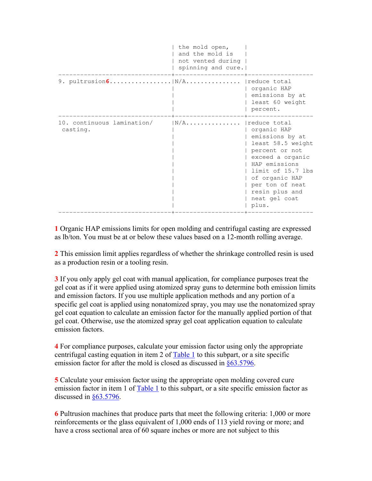|                                        | the mold open,<br>and the mold is<br>not vented during<br>spinning and cure. |                                                                                                                                                                                                                                  |
|----------------------------------------|------------------------------------------------------------------------------|----------------------------------------------------------------------------------------------------------------------------------------------------------------------------------------------------------------------------------|
| 9. pultrusion6                         | $N/A$                                                                        | reduce total<br>organic HAP<br>emissions by at<br>least 60 weight<br>percent.                                                                                                                                                    |
| 10. continuous lamination/<br>casting. | $N/A$                                                                        | reduce total<br>organic HAP<br>emissions by at<br>least 58.5 weight<br>percent or not<br>exceed a organic<br>HAP emissions<br>limit of 15.7 lbs<br>of organic HAP<br>per ton of neat<br>resin plus and<br>neat gel coat<br>plus. |

1 Organic HAP emissions limits for open molding and centrifugal casting are expressed as lb/ton. You must be at or below these values based on a 12-month rolling average.

2 This emission limit applies regardless of whether the shrinkage controlled resin is used as a production resin or a tooling resin.

**3** If you only apply gel coat with manual application, for compliance purposes treat the gel coat as if it were applied using atomized spray guns to determine both emission limits and emission factors. If you use multiple application methods and any portion of a specific gel coat is applied using nonatomized spray, you may use the nonatomized spray gel coat equation to calculate an emission factor for the manually applied portion of that gel coat. Otherwise, use the atomized spray gel coat application equation to calculate emission factors.

4 For compliance purposes, calculate your emission factor using only the appropriate centrifugal casting equation in item 2 of Table 1 to this subpart, or a site specific emission factor for after the mold is closed as discussed in §63.5796.

5 Calculate your emission factor using the appropriate open molding covered cure emission factor in item 1 of Table 1 to this subpart, or a site specific emission factor as discussed in  $§63.5796$ .

6 Pultrusion machines that produce parts that meet the following criteria: 1,000 or more reinforcements or the glass equivalent of 1,000 ends of 113 yield roving or more; and have a cross sectional area of 60 square inches or more are not subject to this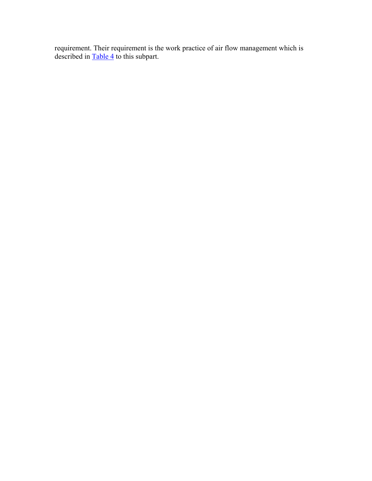requirement. Their requirement is the work practice of air flow management which is described in **Table 4** to this subpart.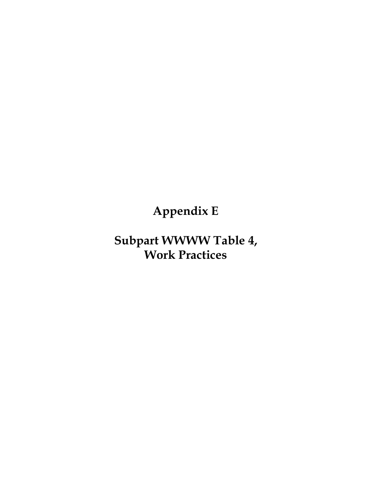Appendix E

Subpart WWWW Table 4, Work Practices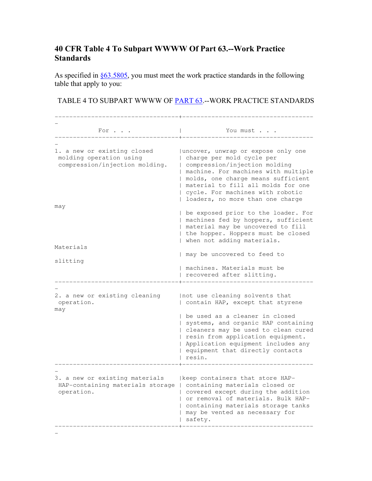#### 40 CFR Table 4 To Subpart WWWW Of Part 63.--Work Practice Standards

As specified in §63.5805, you must meet the work practice standards in the following table that apply to you:

#### TABLE 4 TO SUBPART WWWW OF PART 63.--WORK PRACTICE STANDARDS

| For                                                                                      | You must                                                                                                                                                                                                                                                                                                                 |
|------------------------------------------------------------------------------------------|--------------------------------------------------------------------------------------------------------------------------------------------------------------------------------------------------------------------------------------------------------------------------------------------------------------------------|
| 1. a new or existing closed<br>molding operation using<br>compression/injection molding. | (uncover, unwrap or expose only one<br>charge per mold cycle per<br>compression/injection molding<br>  machine. For machines with multiple<br>  molds, one charge means sufficient<br>  material to fill all molds for one<br>  cycle. For machines with robotic<br>loaders, no more than one charge                     |
| may<br>Materials                                                                         | be exposed prior to the loader. For<br>machines fed by hoppers, sufficient<br>  material may be uncovered to fill<br>  the hopper. Hoppers must be closed<br>when not adding materials.<br>  may be uncovered to feed to                                                                                                 |
| slitting                                                                                 | machines. Materials must be<br>recovered after slitting.                                                                                                                                                                                                                                                                 |
| 2. a new or existing cleaning<br>operation.<br>may                                       | Inot use cleaning solvents that<br>  contain HAP, except that styrene<br>I be used as a cleaner in closed<br>  systems, and organic HAP containing<br>  cleaners may be used to clean cured<br>  resin from application equipment.<br>  Application equipment includes any<br>equipment that directly contacts<br>resin. |
| 3. a new or existing materials<br>HAP-containing materials storage<br>operation.         | keep containers that store HAP-<br>  containing materials closed or<br>  covered except during the addition<br>or removal of materials. Bulk HAP-<br>containing materials storage tanks<br>may be vented as necessary for<br>safety.                                                                                     |

-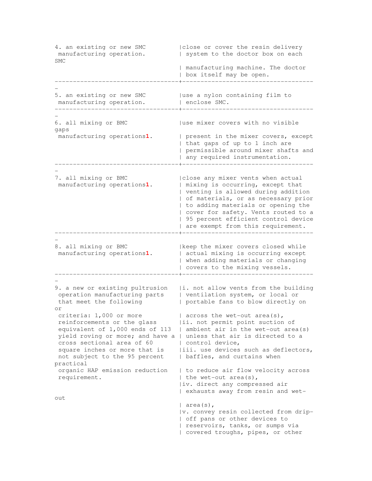4. an existing or new SMC | |close or cover the resin delivery<br>| manufacturing operation. | system to the doctor box on each | system to the doctor box on each SMC | manufacturing machine. The doctor | box itself may be open. ----------------------------------+------------------------------------ - 5. an existing or new SMC | use a nylon containing film to manufacturing operation.  $|$  enclose SMC. ----------------------------------+------------------------------------ - 6. all mixing or BMC | use mixer covers with no visible gaps manufacturing operations1. | present in the mixer covers, except | that gaps of up to 1 inch are | permissible around mixer shafts and | any required instrumentation. ----------------------------------+------------------------------------ - 7. all mixing or BMC |close any mixer vents when actual manufacturing operations**1**. | mixing is occurring, except that | venting is allowed during addition | of materials, or as necessary prior | to adding materials or opening the | cover for safety. Vents routed to a | 95 percent efficient control device | are exempt from this requirement. ----------------------------------+------------------------------------ - 8. all mixing or BMC | keep the mixer covers closed while manufacturing operations**1**. | actual mixing is occurring except | when adding materials or changing | covers to the mixing vessels. ----------------------------------+------------------------------------ - 9. a new or existing pultrusion | i. not allow vents from the building operation manufacturing parts | ventilation system, or local or that meet the following | portable fans to blow directly on or criteria:  $1,000$  or more | across the wet-out area(s), reinforcements or the glass |ii. not permit point suction of equivalent of 1,000 ends of 113 | ambient air in the wet-out area(s) yield roving or more; and have a | unless that air is directed to a cross sectional area of 60 | control device, square inches or more that is |iii. use devices such as deflectors, not subject to the 95 percent | baffles, and curtains when practical organic HAP emission reduction | to reduce air flow velocity across requirement.  $|$  the wet-out area(s), |iv. direct any compressed air | exhausts away from resin and wetout | area(s), |v. convey resin collected from drip- | off pans or other devices to | reservoirs, tanks, or sumps via | covered troughs, pipes, or other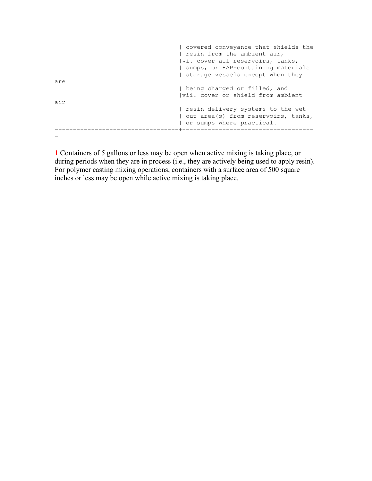|     | covered conveyance that shields the |
|-----|-------------------------------------|
|     | resin from the ambient air,         |
|     | vi. cover all reservoirs, tanks,    |
|     | sumps, or HAP-containing materials  |
|     | storage vessels except when they    |
| are |                                     |
|     | being charged or filled, and        |
|     | Ivii. cover or shield from ambient  |
| air |                                     |
|     | resin delivery systems to the wet-  |
|     | out area(s) from reservoirs, tanks, |
|     | or sumps where practical.           |
|     |                                     |
|     |                                     |

1 Containers of 5 gallons or less may be open when active mixing is taking place, or during periods when they are in process (i.e., they are actively being used to apply resin). For polymer casting mixing operations, containers with a surface area of 500 square inches or less may be open while active mixing is taking place.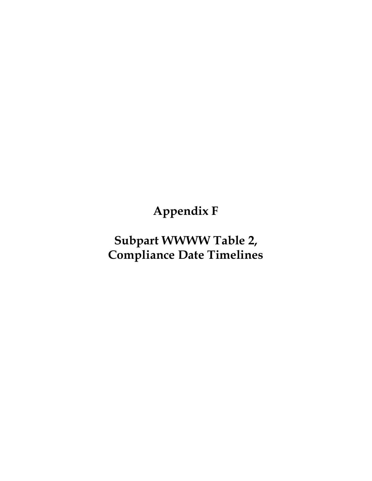Appendix F

# Subpart WWWW Table 2, Compliance Date Timelines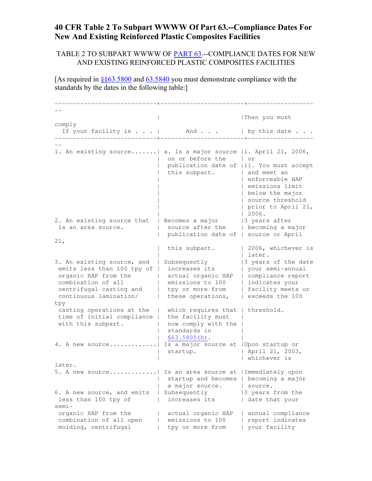#### 40 CFR Table 2 To Subpart WWWW Of Part 63.--Compliance Dates For New And Existing Reinforced Plastic Composites Facilities

#### TABLE 2 TO SUBPART WWWW OF PART 63.--COMPLIANCE DATES FOR NEW AND EXISTING REINFORCED PLASTIC COMPOSITES FACILITIES

[As required in  $\frac{8663.5800}{863.5800}$  and  $\frac{63.5840}{800}$  you must demonstrate compliance with the standards by the dates in the following table:]

|                                                                   |                                                           | Then you must                            |
|-------------------------------------------------------------------|-----------------------------------------------------------|------------------------------------------|
| comply                                                            |                                                           |                                          |
| If your facility is   And   by this date                          |                                                           |                                          |
|                                                                   |                                                           |                                          |
|                                                                   |                                                           |                                          |
| 1. An existing source   a. Is a major source   i. April 21, 2006, |                                                           |                                          |
|                                                                   | on or before the                                          | l or                                     |
|                                                                   |                                                           | publication date of  ii. You must accept |
|                                                                   | this subpart.   and meet an                               |                                          |
|                                                                   |                                                           | enforceable HAP                          |
|                                                                   |                                                           | I emissions limit                        |
|                                                                   |                                                           | below the major<br>  source threshold    |
|                                                                   |                                                           |                                          |
|                                                                   |                                                           | prior to April 21,<br>12006.             |
| 2. An existing source that                                        | Becomes a major                                           | 3 years after                            |
| is an area source.                                                | source after the   becoming a major                       |                                          |
|                                                                   | publication date of   source or April                     |                                          |
| 21,                                                               |                                                           |                                          |
|                                                                   | this subpart.                                             | 2006, whichever is                       |
|                                                                   |                                                           | later.                                   |
| 3. An existing source, and                                        | Subsequently                                              | 3 years of the date                      |
| emits less than 100 tpy of                                        | increases its                                             | your semi-annual                         |
| organic HAP from the                                              | actual organic HAP                                        | compliance report                        |
| combination of all                                                | emissions to 100                                          | indicates your                           |
| centrifugal casting and                                           | tpy or more from                                          | facility meets or                        |
| continuous lamination/                                            | these operations,                                         | exceeds the 100                          |
| tpy                                                               |                                                           |                                          |
| casting operations at the<br>$\mathbf{L}$                         | which requires that   threshold.                          |                                          |
| time of initial compliance                                        | the facility must                                         |                                          |
| with this subpart.                                                | now comply with the                                       |                                          |
|                                                                   | standards in                                              |                                          |
| 4. A new source                                                   | $$63.5805(b)$ .<br>Is a major source at   Upon startup or |                                          |
|                                                                   | startup.                                                  | April 21, 2003,                          |
|                                                                   |                                                           | I whichever is                           |
| later.                                                            |                                                           |                                          |
| 5. A new source                                                   | Is an area source at   Immediately upon                   |                                          |
|                                                                   | startup and becomes   becoming a major                    |                                          |
|                                                                   | a major source.                                           | source.                                  |
| 6. A new source, and emits                                        | Subsequently                                              | 3 years from the                         |
| less than 100 tpy of                                              | increases its                                             | date that your                           |
| $semi -$                                                          |                                                           |                                          |
| organic HAP from the                                              | actual organic HAP                                        | annual compliance                        |
| combination of all open                                           | emissions to 100                                          | report indicates                         |
| molding, centrifugal                                              | tpy or more from                                          | your facility                            |